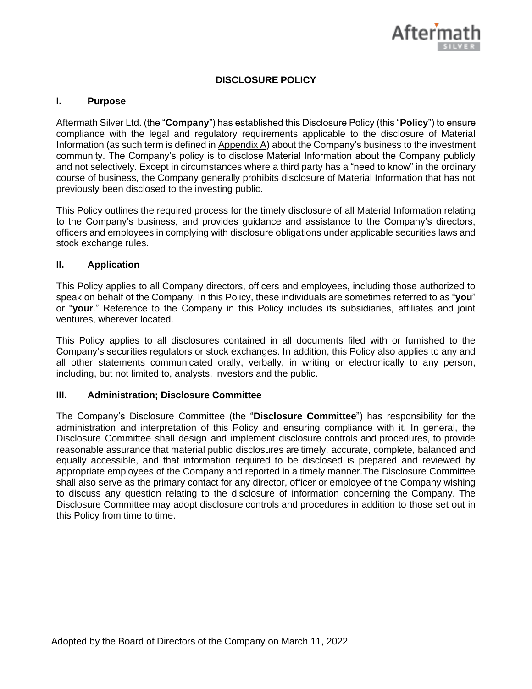

# **DISCLOSURE POLICY**

### **I. Purpose**

Aftermath Silver Ltd. (the "**Company**") has established this Disclosure Policy (this "**Policy**") to ensure compliance with the legal and regulatory requirements applicable to the disclosure of Material Information (as such term is defined in Appendix A) about the Company's business to the investment community. The Company's policy is to disclose Material Information about the Company publicly and not selectively. Except in circumstances where a third party has a "need to know" in the ordinary course of business, the Company generally prohibits disclosure of Material Information that has not previously been disclosed to the investing public.

This Policy outlines the required process for the timely disclosure of all Material Information relating to the Company's business, and provides guidance and assistance to the Company's directors, officers and employees in complying with disclosure obligations under applicable securities laws and stock exchange rules.

#### **II. Application**

This Policy applies to all Company directors, officers and employees, including those authorized to speak on behalf of the Company. In this Policy, these individuals are sometimes referred to as "**you**" or "**your**." Reference to the Company in this Policy includes its subsidiaries, affiliates and joint ventures, wherever located.

This Policy applies to all disclosures contained in all documents filed with or furnished to the Company's securities regulators or stock exchanges. In addition, this Policy also applies to any and all other statements communicated orally, verbally, in writing or electronically to any person, including, but not limited to, analysts, investors and the public.

#### **III. Administration; Disclosure Committee**

The Company's Disclosure Committee (the "**Disclosure Committee**") has responsibility for the administration and interpretation of this Policy and ensuring compliance with it. In general, the Disclosure Committee shall design and implement disclosure controls and procedures, to provide reasonable assurance that material public disclosures are timely, accurate, complete, balanced and equally accessible, and that information required to be disclosed is prepared and reviewed by appropriate employees of the Company and reported in a timely manner.The Disclosure Committee shall also serve as the primary contact for any director, officer or employee of the Company wishing to discuss any question relating to the disclosure of information concerning the Company. The Disclosure Committee may adopt disclosure controls and procedures in addition to those set out in this Policy from time to time.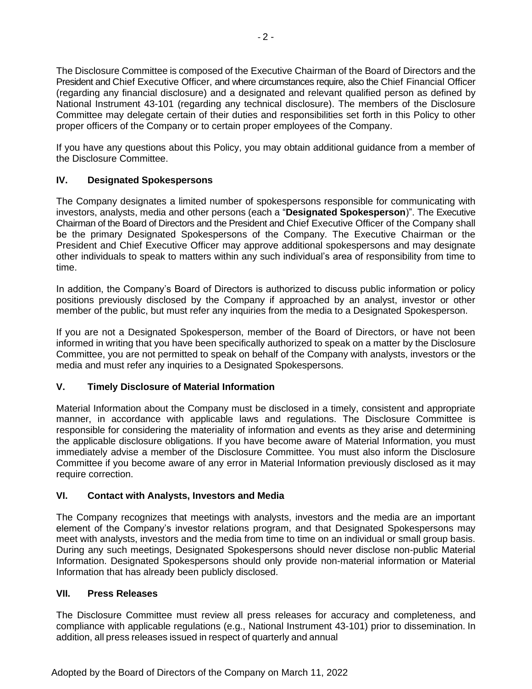The Disclosure Committee is composed of the Executive Chairman of the Board of Directors and the President and Chief Executive Officer, and where circumstances require, also the Chief Financial Officer (regarding any financial disclosure) and a designated and relevant qualified person as defined by National Instrument 43-101 (regarding any technical disclosure). The members of the Disclosure Committee may delegate certain of their duties and responsibilities set forth in this Policy to other proper officers of the Company or to certain proper employees of the Company.

If you have any questions about this Policy, you may obtain additional guidance from a member of the Disclosure Committee.

# **IV. Designated Spokespersons**

The Company designates a limited number of spokespersons responsible for communicating with investors, analysts, media and other persons (each a "**Designated Spokesperson**)". The Executive Chairman of the Board of Directors and the President and Chief Executive Officer of the Company shall be the primary Designated Spokespersons of the Company. The Executive Chairman or the President and Chief Executive Officer may approve additional spokespersons and may designate other individuals to speak to matters within any such individual's area of responsibility from time to time.

In addition, the Company's Board of Directors is authorized to discuss public information or policy positions previously disclosed by the Company if approached by an analyst, investor or other member of the public, but must refer any inquiries from the media to a Designated Spokesperson.

If you are not a Designated Spokesperson, member of the Board of Directors, or have not been informed in writing that you have been specifically authorized to speak on a matter by the Disclosure Committee, you are not permitted to speak on behalf of the Company with analysts, investors or the media and must refer any inquiries to a Designated Spokespersons.

# **V. Timely Disclosure of Material Information**

Material Information about the Company must be disclosed in a timely, consistent and appropriate manner, in accordance with applicable laws and regulations. The Disclosure Committee is responsible for considering the materiality of information and events as they arise and determining the applicable disclosure obligations. If you have become aware of Material Information, you must immediately advise a member of the Disclosure Committee. You must also inform the Disclosure Committee if you become aware of any error in Material Information previously disclosed as it may require correction.

### **VI. Contact with Analysts, Investors and Media**

The Company recognizes that meetings with analysts, investors and the media are an important element of the Company's investor relations program, and that Designated Spokespersons may meet with analysts, investors and the media from time to time on an individual or small group basis. During any such meetings, Designated Spokespersons should never disclose non-public Material Information. Designated Spokespersons should only provide non-material information or Material Information that has already been publicly disclosed.

### **VII. Press Releases**

The Disclosure Committee must review all press releases for accuracy and completeness, and compliance with applicable regulations (e.g., National Instrument 43-101) prior to dissemination. In addition, all press releases issued in respect of quarterly and annual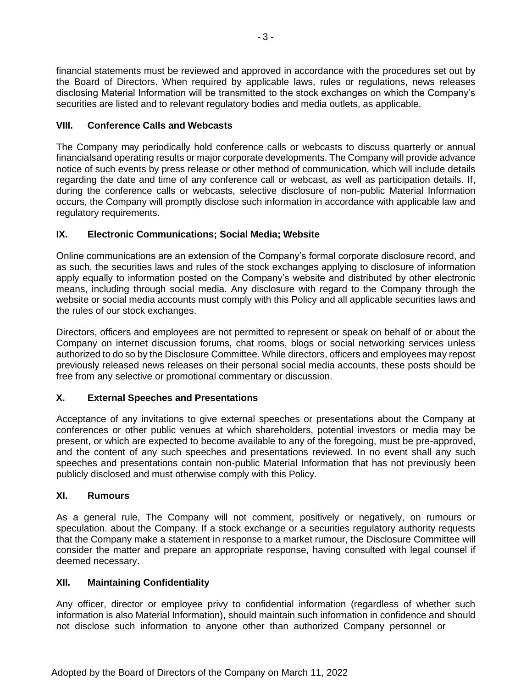financial statements must be reviewed and approved in accordance with the procedures set out by the Board of Directors. When required by applicable laws, rules or regulations, news releases disclosing Material Information will be transmitted to the stock exchanges on which the Company's securities are listed and to relevant regulatory bodies and media outlets, as applicable.

# **VIII. Conference Calls and Webcasts**

The Company may periodically hold conference calls or webcasts to discuss quarterly or annual financialsand operating results or major corporate developments. The Company will provide advance notice of such events by press release or other method of communication, which will include details regarding the date and time of any conference call or webcast, as well as participation details. If, during the conference calls or webcasts, selective disclosure of non-public Material Information occurs, the Company will promptly disclose such information in accordance with applicable law and regulatory requirements.

# **IX. Electronic Communications; Social Media; Website**

Online communications are an extension of the Company's formal corporate disclosure record, and as such, the securities laws and rules of the stock exchanges applying to disclosure of information apply equally to information posted on the Company's website and distributed by other electronic means, including through social media. Any disclosure with regard to the Company through the website or social media accounts must comply with this Policy and all applicable securities laws and the rules of our stock exchanges.

Directors, officers and employees are not permitted to represent or speak on behalf of or about the Company on internet discussion forums, chat rooms, blogs or social networking services unless authorized to do so by the Disclosure Committee. While directors, officers and employees may repost previously released news releases on their personal social media accounts, these posts should be free from any selective or promotional commentary or discussion.

# **X. External Speeches and Presentations**

Acceptance of any invitations to give external speeches or presentations about the Company at conferences or other public venues at which shareholders, potential investors or media may be present, or which are expected to become available to any of the foregoing, must be pre-approved, and the content of any such speeches and presentations reviewed. In no event shall any such speeches and presentations contain non-public Material Information that has not previously been publicly disclosed and must otherwise comply with this Policy.

# **XI. Rumours**

As a general rule, The Company will not comment, positively or negatively, on rumours or speculation. about the Company. If a stock exchange or a securities regulatory authority requests that the Company make a statement in response to a market rumour, the Disclosure Committee will consider the matter and prepare an appropriate response, having consulted with legal counsel if deemed necessary.

# **XII. Maintaining Confidentiality**

Any officer, director or employee privy to confidential information (regardless of whether such information is also Material Information), should maintain such information in confidence and should not disclose such information to anyone other than authorized Company personnel or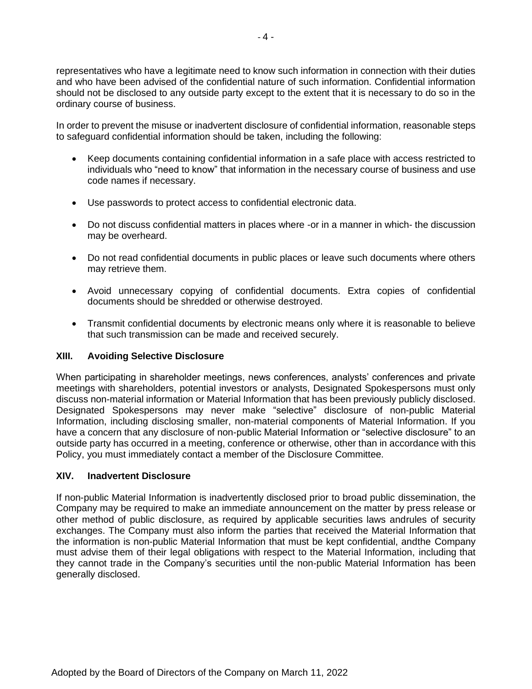representatives who have a legitimate need to know such information in connection with their duties and who have been advised of the confidential nature of such information. Confidential information should not be disclosed to any outside party except to the extent that it is necessary to do so in the ordinary course of business.

In order to prevent the misuse or inadvertent disclosure of confidential information, reasonable steps to safeguard confidential information should be taken, including the following:

- Keep documents containing confidential information in a safe place with access restricted to individuals who "need to know" that information in the necessary course of business and use code names if necessary.
- Use passwords to protect access to confidential electronic data.
- Do not discuss confidential matters in places where -or in a manner in which- the discussion may be overheard.
- Do not read confidential documents in public places or leave such documents where others may retrieve them.
- Avoid unnecessary copying of confidential documents. Extra copies of confidential documents should be shredded or otherwise destroyed.
- Transmit confidential documents by electronic means only where it is reasonable to believe that such transmission can be made and received securely.

# **XIII. Avoiding Selective Disclosure**

When participating in shareholder meetings, news conferences, analysts' conferences and private meetings with shareholders, potential investors or analysts, Designated Spokespersons must only discuss non-material information or Material Information that has been previously publicly disclosed. Designated Spokespersons may never make "selective" disclosure of non-public Material Information, including disclosing smaller, non-material components of Material Information. If you have a concern that any disclosure of non-public Material Information or "selective disclosure" to an outside party has occurred in a meeting, conference or otherwise, other than in accordance with this Policy, you must immediately contact a member of the Disclosure Committee.

#### **XIV. Inadvertent Disclosure**

If non-public Material Information is inadvertently disclosed prior to broad public dissemination, the Company may be required to make an immediate announcement on the matter by press release or other method of public disclosure, as required by applicable securities laws andrules of security exchanges. The Company must also inform the parties that received the Material Information that the information is non-public Material Information that must be kept confidential, andthe Company must advise them of their legal obligations with respect to the Material Information, including that they cannot trade in the Company's securities until the non-public Material Information has been generally disclosed.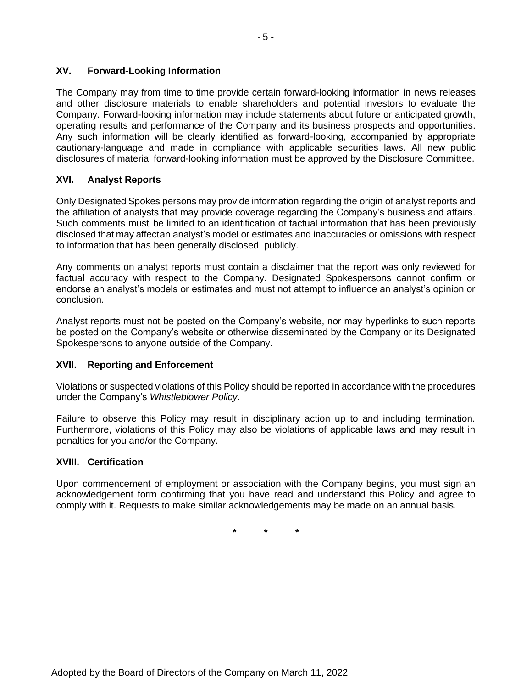### **XV. Forward-Looking Information**

The Company may from time to time provide certain forward-looking information in news releases and other disclosure materials to enable shareholders and potential investors to evaluate the Company. Forward-looking information may include statements about future or anticipated growth, operating results and performance of the Company and its business prospects and opportunities. Any such information will be clearly identified as forward-looking, accompanied by appropriate cautionary-language and made in compliance with applicable securities laws. All new public disclosures of material forward-looking information must be approved by the Disclosure Committee.

### **XVI. Analyst Reports**

Only Designated Spokes persons may provide information regarding the origin of analyst reports and the affiliation of analysts that may provide coverage regarding the Company's business and affairs. Such comments must be limited to an identification of factual information that has been previously disclosed that may affectan analyst's model or estimates and inaccuracies or omissions with respect to information that has been generally disclosed, publicly.

Any comments on analyst reports must contain a disclaimer that the report was only reviewed for factual accuracy with respect to the Company. Designated Spokespersons cannot confirm or endorse an analyst's models or estimates and must not attempt to influence an analyst's opinion or conclusion.

Analyst reports must not be posted on the Company's website, nor may hyperlinks to such reports be posted on the Company's website or otherwise disseminated by the Company or its Designated Spokespersons to anyone outside of the Company.

#### **XVII. Reporting and Enforcement**

Violations or suspected violations of this Policy should be reported in accordance with the procedures under the Company's *Whistleblower Policy*.

Failure to observe this Policy may result in disciplinary action up to and including termination. Furthermore, violations of this Policy may also be violations of applicable laws and may result in penalties for you and/or the Company.

#### **XVIII. Certification**

Upon commencement of employment or association with the Company begins, you must sign an acknowledgement form confirming that you have read and understand this Policy and agree to comply with it. Requests to make similar acknowledgements may be made on an annual basis.

**\* \* \***